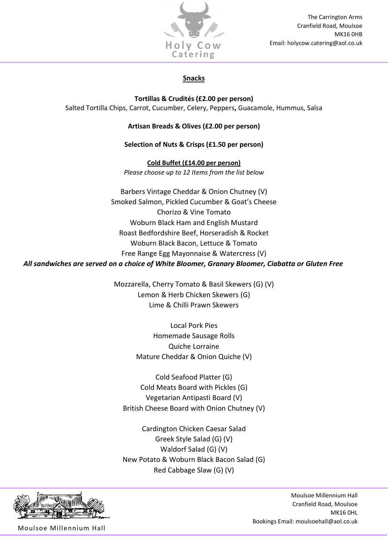

## Snacks

Tortillas & Crudités (£2.00 per person) Salted Tortilla Chips, Carrot, Cucumber, Celery, Peppers, Guacamole, Hummus, Salsa

## Artisan Breads & Olives (£2.00 per person)

## Selection of Nuts & Crisps (£1.50 per person)

Cold Buffet (£14.00 per person) Please choose up to 12 Items from the list below

Barbers Vintage Cheddar & Onion Chutney (V) Smoked Salmon, Pickled Cucumber & Goat's Cheese Chorizo & Vine Tomato Woburn Black Ham and English Mustard Roast Bedfordshire Beef, Horseradish & Rocket Woburn Black Bacon, Lettuce & Tomato Free Range Egg Mayonnaise & Watercress (V) All sandwiches are served on a choice of White Bloomer, Granary Bloomer, Ciabatta or Gluten Free

> Mozzarella, Cherry Tomato & Basil Skewers (G) (V) Lemon & Herb Chicken Skewers (G) Lime & Chilli Prawn Skewers

> > Local Pork Pies Homemade Sausage Rolls Quiche Lorraine Mature Cheddar & Onion Quiche (V)

Cold Seafood Platter (G) Cold Meats Board with Pickles (G) Vegetarian Antipasti Board (V) British Cheese Board with Onion Chutney (V)

Cardington Chicken Caesar Salad Greek Style Salad (G) (V) Waldorf Salad (G) (V) New Potato & Woburn Black Bacon Salad (G) Red Cabbage Slaw (G) (V)



Moulsoe Millennium Hall

Moulsoe Millennium Hall Cranfield Road, Moulsoe MK16 0HL Bookings Email: moulsoehall@aol.co.uk